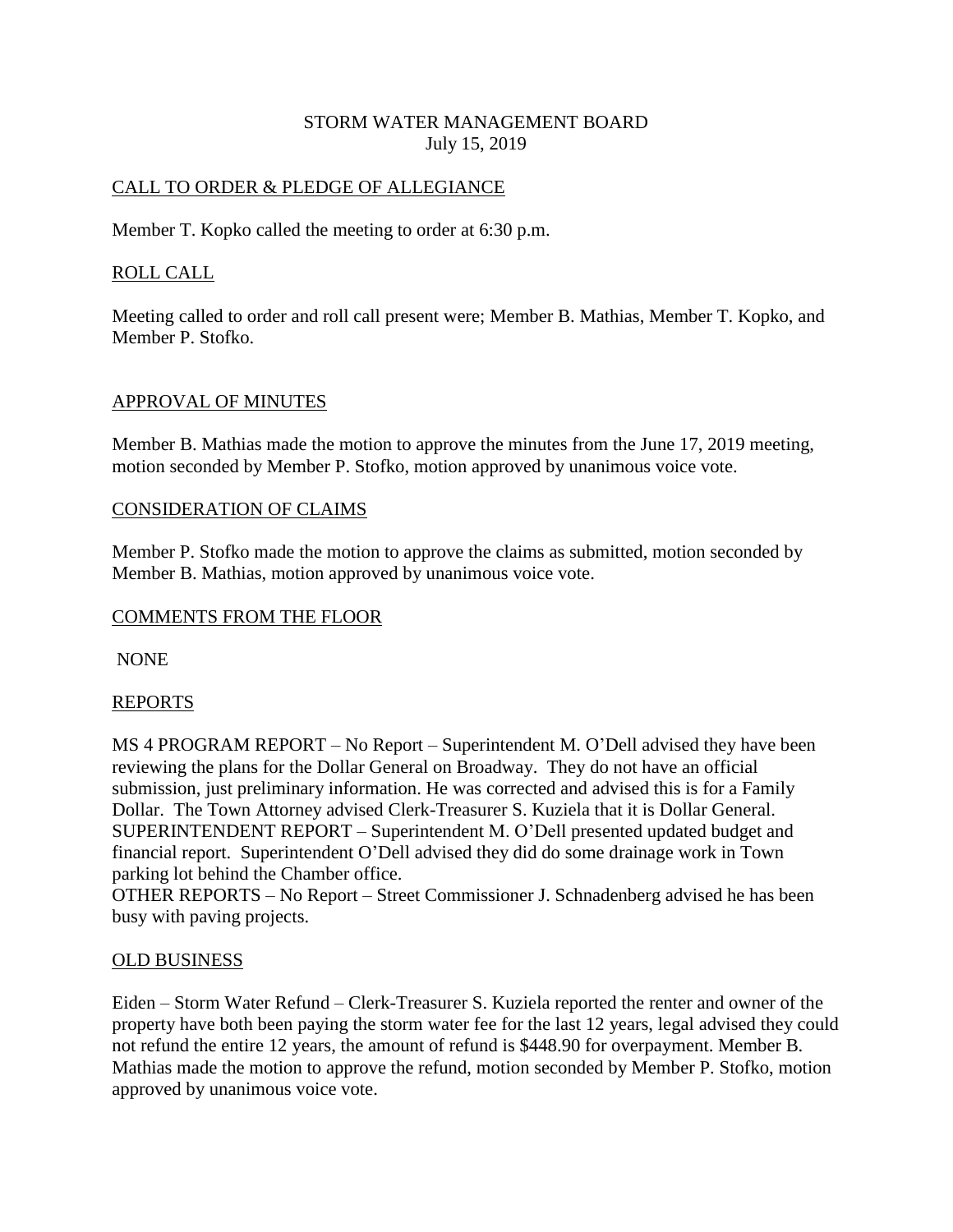# STORM WATER MANAGEMENT BOARD July 15, 2019

# CALL TO ORDER & PLEDGE OF ALLEGIANCE

Member T. Kopko called the meeting to order at 6:30 p.m.

## ROLL CALL

Meeting called to order and roll call present were; Member B. Mathias, Member T. Kopko, and Member P. Stofko.

## APPROVAL OF MINUTES

Member B. Mathias made the motion to approve the minutes from the June 17, 2019 meeting, motion seconded by Member P. Stofko, motion approved by unanimous voice vote.

#### CONSIDERATION OF CLAIMS

Member P. Stofko made the motion to approve the claims as submitted, motion seconded by Member B. Mathias, motion approved by unanimous voice vote.

#### COMMENTS FROM THE FLOOR

NONE

#### REPORTS

MS 4 PROGRAM REPORT – No Report – Superintendent M. O'Dell advised they have been reviewing the plans for the Dollar General on Broadway. They do not have an official submission, just preliminary information. He was corrected and advised this is for a Family Dollar. The Town Attorney advised Clerk-Treasurer S. Kuziela that it is Dollar General. SUPERINTENDENT REPORT – Superintendent M. O'Dell presented updated budget and financial report. Superintendent O'Dell advised they did do some drainage work in Town parking lot behind the Chamber office.

OTHER REPORTS – No Report – Street Commissioner J. Schnadenberg advised he has been busy with paving projects.

## OLD BUSINESS

Eiden – Storm Water Refund – Clerk-Treasurer S. Kuziela reported the renter and owner of the property have both been paying the storm water fee for the last 12 years, legal advised they could not refund the entire 12 years, the amount of refund is \$448.90 for overpayment. Member B. Mathias made the motion to approve the refund, motion seconded by Member P. Stofko, motion approved by unanimous voice vote.